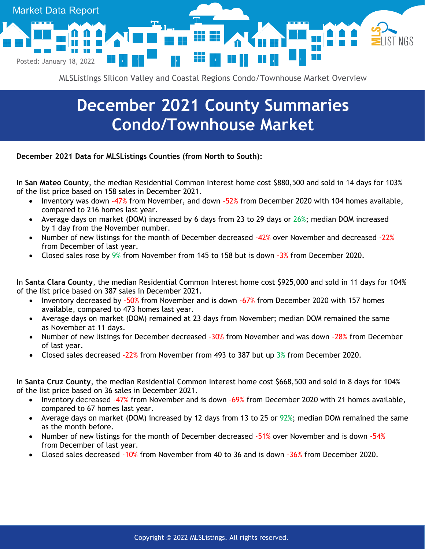

MLSListings Silicon Valley and Coastal Regions Condo/Townhouse Market Overview

## **December 2021 County Summaries Condo/Townhouse Market**

**December 2021 Data for MLSListings Counties (from North to South):**

In **San Mateo County**, the median Residential Common Interest home cost \$880,500 and sold in 14 days for 103% of the list price based on 158 sales in December 2021.

- Inventory was down -47% from November, and down -52% from December 2020 with 104 homes available, compared to 216 homes last year.
- Average days on market (DOM) increased by 6 days from 23 to 29 days or 26%; median DOM increased by 1 day from the November number.
- Number of new listings for the month of December decreased -42% over November and decreased -22% from December of last year.
- Closed sales rose by 9% from November from 145 to 158 but is down -3% from December 2020.

In **Santa Clara County**, the median Residential Common Interest home cost \$925,000 and sold in 11 days for 104% of the list price based on 387 sales in December 2021.

- Inventory decreased by -50% from November and is down -67% from December 2020 with 157 homes available, compared to 473 homes last year.
- Average days on market (DOM) remained at 23 days from November; median DOM remained the same as November at 11 days.
- Number of new listings for December decreased -30% from November and was down -28% from December of last year.
- Closed sales decreased -22% from November from 493 to 387 but up 3% from December 2020.

In **Santa Cruz County**, the median Residential Common Interest home cost \$668,500 and sold in 8 days for 104% of the list price based on 36 sales in December 2021.

- Inventory decreased -47% from November and is down -69% from December 2020 with 21 homes available, compared to 67 homes last year.
- Average days on market (DOM) increased by 12 days from 13 to 25 or 92%; median DOM remained the same as the month before.
- Number of new listings for the month of December decreased -51% over November and is down -54% from December of last year.
- Closed sales decreased -10% from November from 40 to 36 and is down -36% from December 2020.